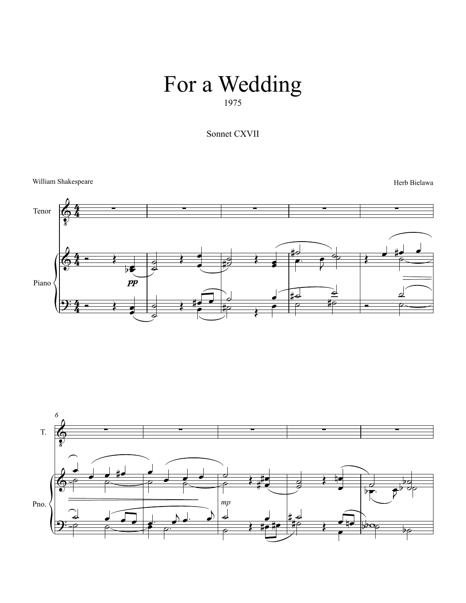## 1975 For a Wedding

Sonnet CXVII

William Shakespeare Herb Bielawa



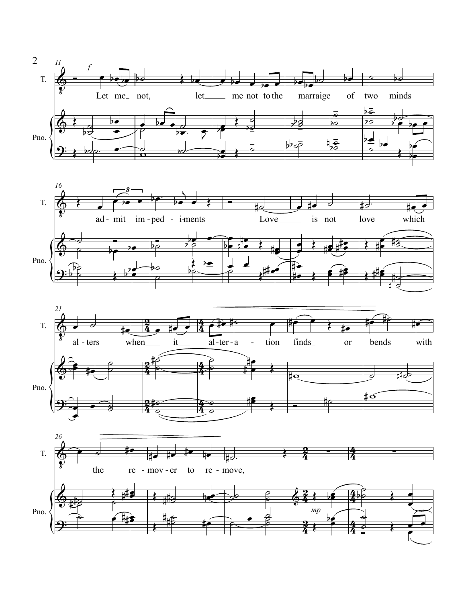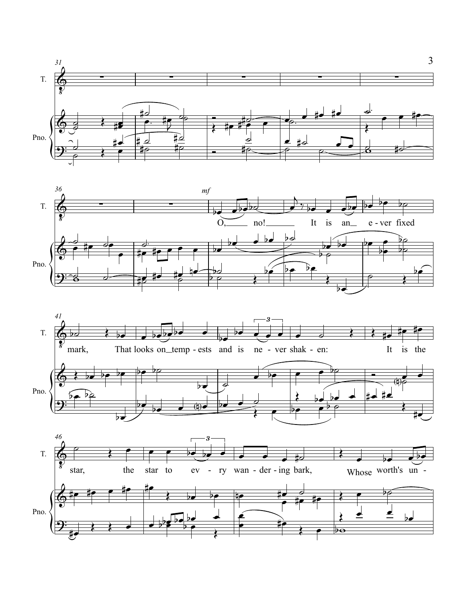



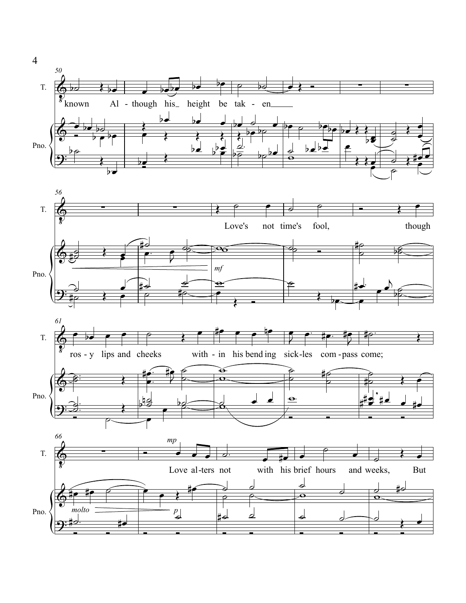

 $\overline{4}$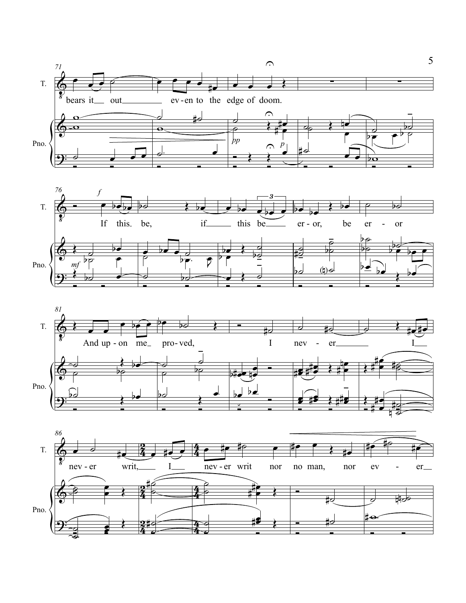





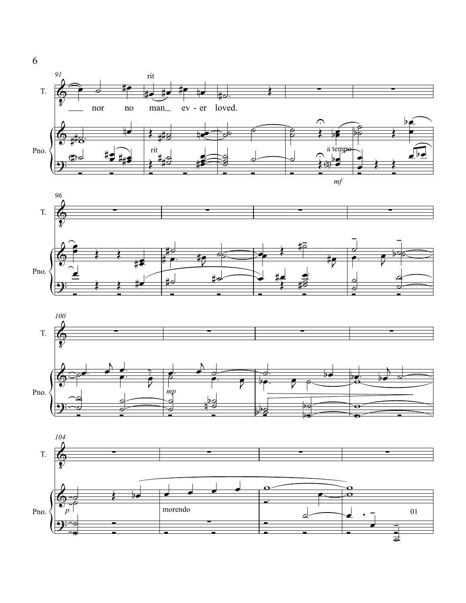







6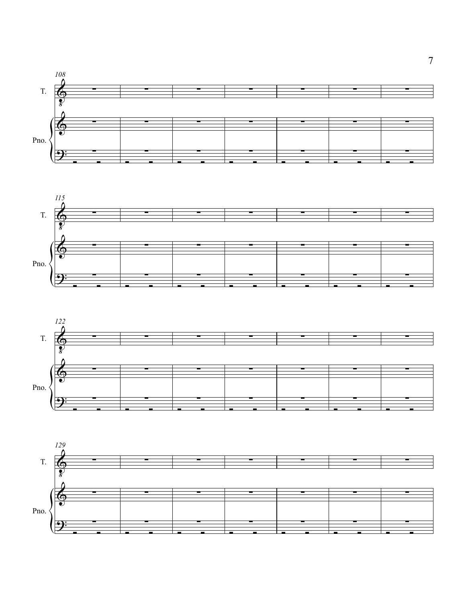





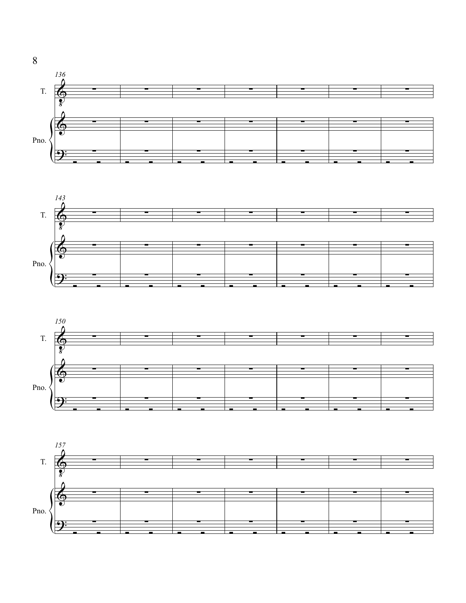







8